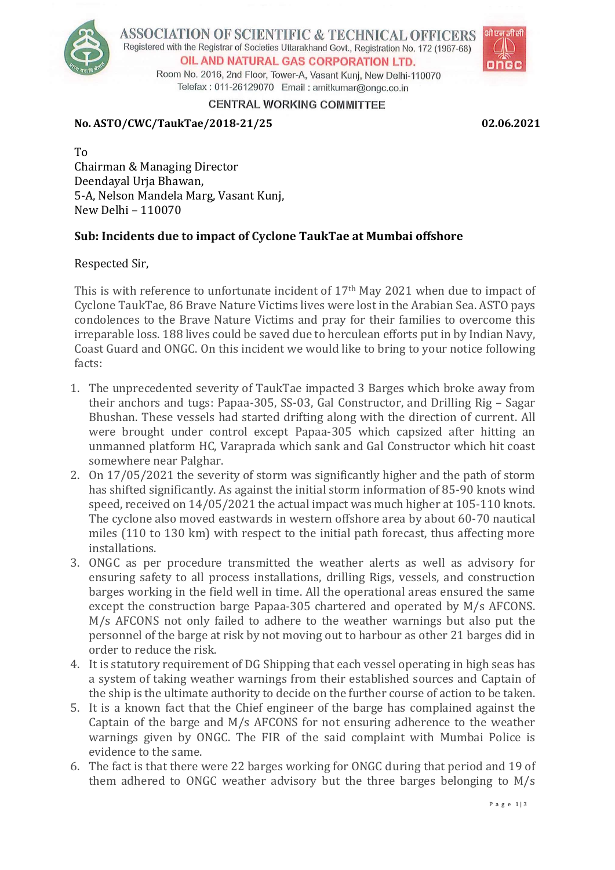

ASSOCIATION OF SCIENTIFIC & TECHNICAL OFFICERS Registered with the Registrar of Societies Uttarakhand Govt., Registration No. 172 (1967-68) OIL AND NATURAL GAS CORPORATION LTD.

Room No. 2016, 2nd Floor, Tower-A, Vasant Kuni, New Delhi-110070 Telefax: 011-26129070 Email: amitkumar@ongc.co.in



CENTRAL WORKING COMMITTEE

### **No. ASTO/CWC/TaukTae/2018-21/25 02.06.2021**

To Chairman & Managing Director Deendayal Urja Bhawan, 5-A, Nelson Mandela Marg, Vasant Kunj, New Delhi – 110070

## **Sub: Incidents due to impact of Cyclone TaukTae at Mumbai offshore**

Respected Sir,

This is with reference to unfortunate incident of 17th May 2021 when due to impact of Cyclone TaukTae, 86 Brave Nature Victims lives were lost in the Arabian Sea. ASTO pays condolences to the Brave Nature Victims and pray for their families to overcome this irreparable loss. 188 lives could be saved due to herculean efforts put in by Indian Navy, Coast Guard and ONGC. On this incident we would like to bring to your notice following facts:

- 1. The unprecedented severity of TaukTae impacted 3 Barges which broke away from their anchors and tugs: Papaa-305, SS-03, Gal Constructor, and Drilling Rig – Sagar Bhushan. These vessels had started drifting along with the direction of current. All were brought under control except Papaa-305 which capsized after hitting an unmanned platform HC, Varaprada which sank and Gal Constructor which hit coast somewhere near Palghar.
- 2. On 17/05/2021 the severity of storm was significantly higher and the path of storm has shifted significantly. As against the initial storm information of 85-90 knots wind speed, received on 14/05/2021 the actual impact was much higher at 105-110 knots. The cyclone also moved eastwards in western offshore area by about 60-70 nautical miles (110 to 130 km) with respect to the initial path forecast, thus affecting more installations.
- 3. ONGC as per procedure transmitted the weather alerts as well as advisory for ensuring safety to all process installations, drilling Rigs, vessels, and construction barges working in the field well in time. All the operational areas ensured the same except the construction barge Papaa-305 chartered and operated by M/s AFCONS. M/s AFCONS not only failed to adhere to the weather warnings but also put the personnel of the barge at risk by not moving out to harbour as other 21 barges did in order to reduce the risk.
- 4. It is statutory requirement of DG Shipping that each vessel operating in high seas has a system of taking weather warnings from their established sources and Captain of the ship is the ultimate authority to decide on the further course of action to be taken.
- 5. It is a known fact that the Chief engineer of the barge has complained against the Captain of the barge and M/s AFCONS for not ensuring adherence to the weather warnings given by ONGC. The FIR of the said complaint with Mumbai Police is evidence to the same.
- 6. The fact is that there were 22 barges working for ONGC during that period and 19 of them adhered to ONGC weather advisory but the three barges belonging to M/s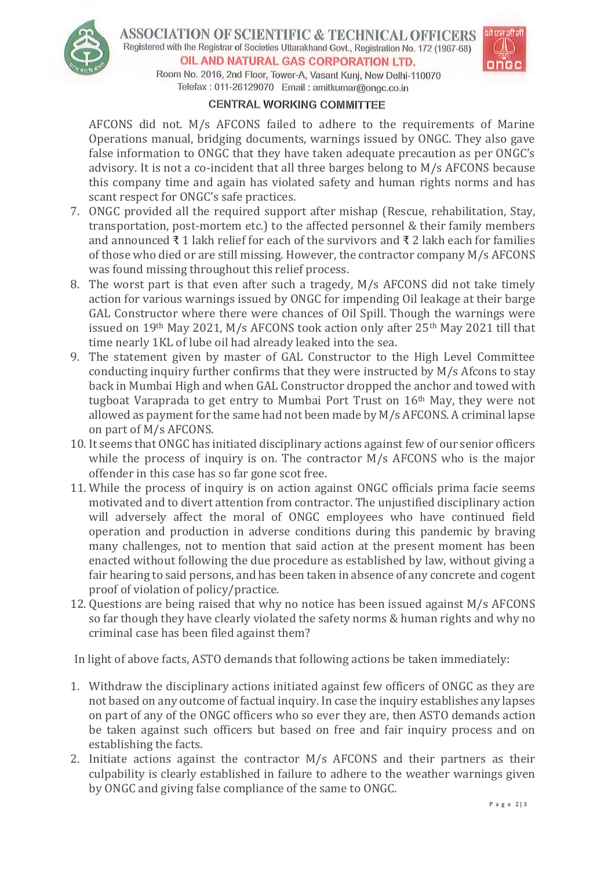

ASSOCIATION OF SCIENTIFIC & TECHNICAL OFFICERS Registered with the Registrar of Societies Uttarakhand Govt., Registration No. 172 (1967-68) OIL AND NATURAL GAS CORPORATION LTD.



Room No. 2016, 2nd Floor, Tower-A, Vasant Kuni, New Delhi-110070 Telefax: 011-26129070 Email: amitkumar@ongc.co.in

### **CENTRAL WORKING COMMITTEE**

AFCONS did not. M/s AFCONS failed to adhere to the requirements of Marine Operations manual, bridging documents, warnings issued by ONGC. They also gave false information to ONGC that they have taken adequate precaution as per ONGC's advisory. It is not a co-incident that all three barges belong to M/s AFCONS because this company time and again has violated safety and human rights norms and has scant respect for ONGC's safe practices.

- 7. ONGC provided all the required support after mishap (Rescue, rehabilitation, Stay, transportation, post-mortem etc.) to the affected personnel & their family members and announced ₹ 1 lakh relief for each of the survivors and ₹ 2 lakh each for families of those who died or are still missing. However, the contractor company M/s AFCONS was found missing throughout this relief process.
- 8. The worst part is that even after such a tragedy, M/s AFCONS did not take timely action for various warnings issued by ONGC for impending Oil leakage at their barge GAL Constructor where there were chances of Oil Spill. Though the warnings were issued on 19th May 2021, M/s AFCONS took action only after 25th May 2021 till that time nearly 1KL of lube oil had already leaked into the sea.
- 9. The statement given by master of GAL Constructor to the High Level Committee conducting inquiry further confirms that they were instructed by M/s Afcons to stay back in Mumbai High and when GAL Constructor dropped the anchor and towed with tugboat Varaprada to get entry to Mumbai Port Trust on 16th May, they were not allowed as payment for the same had not been made by M/s AFCONS. A criminal lapse on part of M/s AFCONS.
- 10. It seems that ONGC has initiated disciplinary actions against few of our senior officers while the process of inquiry is on. The contractor M/s AFCONS who is the major offender in this case has so far gone scot free.
- 11. While the process of inquiry is on action against ONGC officials prima facie seems motivated and to divert attention from contractor. The unjustified disciplinary action will adversely affect the moral of ONGC employees who have continued field operation and production in adverse conditions during this pandemic by braving many challenges, not to mention that said action at the present moment has been enacted without following the due procedure as established by law, without giving a fair hearing to said persons, and has been taken in absence of any concrete and cogent proof of violation of policy/practice.
- 12. Questions are being raised that why no notice has been issued against M/s AFCONS so far though they have clearly violated the safety norms & human rights and why no criminal case has been filed against them?

In light of above facts, ASTO demands that following actions be taken immediately:

- 1. Withdraw the disciplinary actions initiated against few officers of ONGC as they are not based on any outcome of factual inquiry. In case the inquiry establishes any lapses on part of any of the ONGC officers who so ever they are, then ASTO demands action be taken against such officers but based on free and fair inquiry process and on establishing the facts.
- 2. Initiate actions against the contractor M/s AFCONS and their partners as their culpability is clearly established in failure to adhere to the weather warnings given by ONGC and giving false compliance of the same to ONGC.